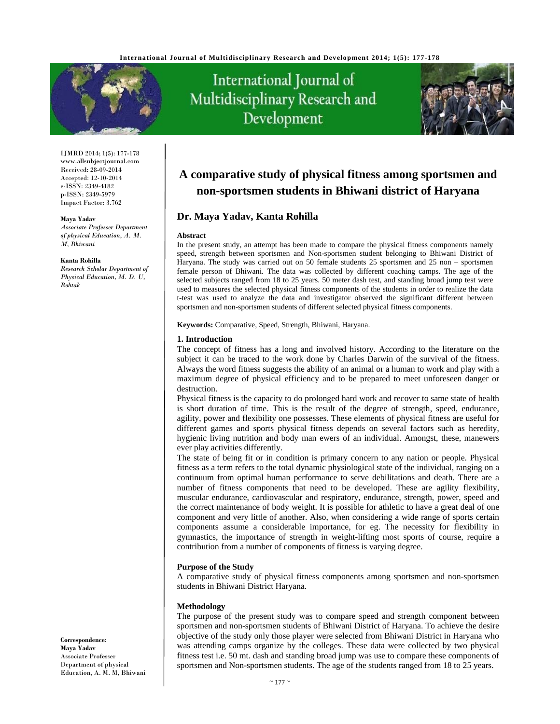

IJMRD 2014; 1(5): 177-178 www.allsubjectjournal.com Received: 28-09-2014 Accepted: 12-10-2014 e-ISSN: 2349-4182 p-ISSN: 2349-5979 Impact Factor: 3.762

#### **Maya Yadav**

*Associate Professer Department of physical Education, A. M. M, Bhiwani* 

#### **Kanta Rohilla**

*Research Scholar Department of Physical Education, M. D. U, Rohtak* 

# International Journal of Multidisciplinary Research and Development



## **A comparative study of physical fitness among sportsmen and non-sportsmen students in Bhiwani district of Haryana**

### **Dr. Maya Yadav, Kanta Rohilla**

#### **Abstract**

In the present study, an attempt has been made to compare the physical fitness components namely speed, strength between sportsmen and Non-sportsmen student belonging to Bhiwani District of Haryana. The study was carried out on 50 female students 25 sportsmen and 25 non – sportsmen female person of Bhiwani. The data was collected by different coaching camps. The age of the selected subjects ranged from 18 to 25 years. 50 meter dash test, and standing broad jump test were used to measures the selected physical fitness components of the students in order to realize the data t-test was used to analyze the data and investigator observed the significant different between sportsmen and non-sportsmen students of different selected physical fitness components.

**Keywords:** Comparative, Speed, Strength, Bhiwani, Haryana.

#### **1. Introduction**

The concept of fitness has a long and involved history. According to the literature on the subject it can be traced to the work done by Charles Darwin of the survival of the fitness. Always the word fitness suggests the ability of an animal or a human to work and play with a maximum degree of physical efficiency and to be prepared to meet unforeseen danger or destruction.

Physical fitness is the capacity to do prolonged hard work and recover to same state of health is short duration of time. This is the result of the degree of strength, speed, endurance, agility, power and flexibility one possesses. These elements of physical fitness are useful for different games and sports physical fitness depends on several factors such as heredity, hygienic living nutrition and body man ewers of an individual. Amongst, these, manewers ever play activities differently.

The state of being fit or in condition is primary concern to any nation or people. Physical fitness as a term refers to the total dynamic physiological state of the individual, ranging on a continuum from optimal human performance to serve debilitations and death. There are a number of fitness components that need to be developed. These are agility flexibility, muscular endurance, cardiovascular and respiratory, endurance, strength, power, speed and the correct maintenance of body weight. It is possible for athletic to have a great deal of one component and very little of another. Also, when considering a wide range of sports certain components assume a considerable importance, for eg. The necessity for flexibility in gymnastics, the importance of strength in weight-lifting most sports of course, require a contribution from a number of components of fitness is varying degree.

#### **Purpose of the Study**

A comparative study of physical fitness components among sportsmen and non-sportsmen students in Bhiwani District Haryana.

#### **Methodology**

The purpose of the present study was to compare speed and strength component between sportsmen and non-sportsmen students of Bhiwani District of Haryana. To achieve the desire objective of the study only those player were selected from Bhiwani District in Haryana who was attending camps organize by the colleges. These data were collected by two physical fitness test i.e. 50 mt. dash and standing broad jump was use to compare these components of sportsmen and Non-sportsmen students. The age of the students ranged from 18 to 25 years.

**Correspondence**: **Maya Yadav** Associate Professer Department of physical Education, A. M. M, Bhiwani